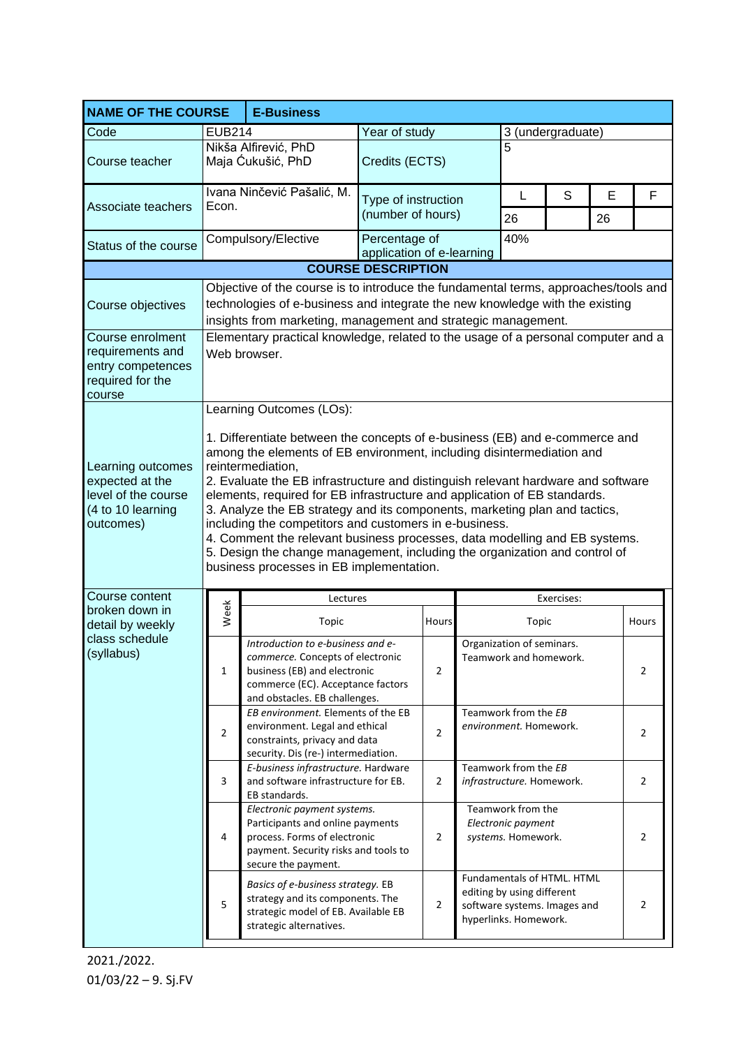| <b>NAME OF THE COURSE</b>                                                                     |                                                                                                                                                                                                                                                                                                                                                                                                                                                                                                                                                                                                                                                                                                                        |                                                                                                                                                                             |                                                   |                |    |                                                                                                                   |    |   |                |
|-----------------------------------------------------------------------------------------------|------------------------------------------------------------------------------------------------------------------------------------------------------------------------------------------------------------------------------------------------------------------------------------------------------------------------------------------------------------------------------------------------------------------------------------------------------------------------------------------------------------------------------------------------------------------------------------------------------------------------------------------------------------------------------------------------------------------------|-----------------------------------------------------------------------------------------------------------------------------------------------------------------------------|---------------------------------------------------|----------------|----|-------------------------------------------------------------------------------------------------------------------|----|---|----------------|
| Code                                                                                          | <b>EUB214</b>                                                                                                                                                                                                                                                                                                                                                                                                                                                                                                                                                                                                                                                                                                          |                                                                                                                                                                             | Year of study                                     |                |    | 3 (undergraduate)                                                                                                 |    |   |                |
| Course teacher                                                                                | Nikša Alfirević, PhD<br>Maja Ćukušić, PhD                                                                                                                                                                                                                                                                                                                                                                                                                                                                                                                                                                                                                                                                              |                                                                                                                                                                             | Credits (ECTS)                                    |                | 5  |                                                                                                                   |    |   |                |
|                                                                                               | Ivana Ninčević Pašalić, M.<br>Econ.                                                                                                                                                                                                                                                                                                                                                                                                                                                                                                                                                                                                                                                                                    |                                                                                                                                                                             | Type of instruction<br>(number of hours)          |                | L  | S                                                                                                                 | E  | F |                |
| Associate teachers                                                                            |                                                                                                                                                                                                                                                                                                                                                                                                                                                                                                                                                                                                                                                                                                                        |                                                                                                                                                                             |                                                   |                | 26 |                                                                                                                   | 26 |   |                |
| Status of the course                                                                          |                                                                                                                                                                                                                                                                                                                                                                                                                                                                                                                                                                                                                                                                                                                        | Compulsory/Elective                                                                                                                                                         | 40%<br>Percentage of<br>application of e-learning |                |    |                                                                                                                   |    |   |                |
| <b>COURSE DESCRIPTION</b>                                                                     |                                                                                                                                                                                                                                                                                                                                                                                                                                                                                                                                                                                                                                                                                                                        |                                                                                                                                                                             |                                                   |                |    |                                                                                                                   |    |   |                |
| Course objectives                                                                             | Objective of the course is to introduce the fundamental terms, approaches/tools and<br>technologies of e-business and integrate the new knowledge with the existing<br>insights from marketing, management and strategic management.                                                                                                                                                                                                                                                                                                                                                                                                                                                                                   |                                                                                                                                                                             |                                                   |                |    |                                                                                                                   |    |   |                |
| Course enrolment<br>requirements and<br>entry competences<br>required for the<br>course       | Elementary practical knowledge, related to the usage of a personal computer and a<br>Web browser.                                                                                                                                                                                                                                                                                                                                                                                                                                                                                                                                                                                                                      |                                                                                                                                                                             |                                                   |                |    |                                                                                                                   |    |   |                |
| Learning outcomes<br>expected at the<br>level of the course<br>(4 to 10 learning<br>outcomes) | Learning Outcomes (LOs):<br>1. Differentiate between the concepts of e-business (EB) and e-commerce and<br>among the elements of EB environment, including disintermediation and<br>reintermediation,<br>2. Evaluate the EB infrastructure and distinguish relevant hardware and software<br>elements, required for EB infrastructure and application of EB standards.<br>3. Analyze the EB strategy and its components, marketing plan and tactics,<br>including the competitors and customers in e-business.<br>4. Comment the relevant business processes, data modelling and EB systems.<br>5. Design the change management, including the organization and control of<br>business processes in EB implementation. |                                                                                                                                                                             |                                                   |                |    |                                                                                                                   |    |   |                |
| Course content                                                                                |                                                                                                                                                                                                                                                                                                                                                                                                                                                                                                                                                                                                                                                                                                                        | Exercises:<br>Lectures                                                                                                                                                      |                                                   |                |    |                                                                                                                   |    |   |                |
| broken down in<br>detail by weekly<br>class schedule<br>(syllabus)                            | Week                                                                                                                                                                                                                                                                                                                                                                                                                                                                                                                                                                                                                                                                                                                   | Topic                                                                                                                                                                       |                                                   | Hours          |    | Topic                                                                                                             |    |   | Hours          |
|                                                                                               | $\mathbf{1}$                                                                                                                                                                                                                                                                                                                                                                                                                                                                                                                                                                                                                                                                                                           | Introduction to e-business and e-<br>commerce. Concepts of electronic<br>business (EB) and electronic<br>commerce (EC). Acceptance factors<br>and obstacles. EB challenges. |                                                   | 2              |    | Organization of seminars.<br>Teamwork and homework.                                                               |    |   | 2              |
|                                                                                               | $\overline{2}$                                                                                                                                                                                                                                                                                                                                                                                                                                                                                                                                                                                                                                                                                                         | EB environment. Elements of the EB<br>environment. Legal and ethical<br>constraints, privacy and data<br>security. Dis (re-) intermediation.                                |                                                   | $\overline{2}$ |    | Teamwork from the EB<br>environment. Homework.                                                                    |    |   | $\overline{2}$ |
|                                                                                               | 3                                                                                                                                                                                                                                                                                                                                                                                                                                                                                                                                                                                                                                                                                                                      | E-business infrastructure. Hardware<br>and software infrastructure for EB.<br>EB standards.                                                                                 |                                                   | $\overline{2}$ |    | Teamwork from the EB<br>infrastructure. Homework.                                                                 |    |   | $\overline{2}$ |
|                                                                                               | 4                                                                                                                                                                                                                                                                                                                                                                                                                                                                                                                                                                                                                                                                                                                      | Electronic payment systems.<br>Participants and online payments<br>process. Forms of electronic<br>payment. Security risks and tools to<br>secure the payment.              |                                                   | $\overline{2}$ |    | Teamwork from the<br>Electronic payment<br>systems. Homework.                                                     |    |   | $\overline{2}$ |
|                                                                                               | 5                                                                                                                                                                                                                                                                                                                                                                                                                                                                                                                                                                                                                                                                                                                      | Basics of e-business strategy. EB<br>strategy and its components. The<br>strategic model of EB. Available EB<br>strategic alternatives.                                     |                                                   | $\overline{2}$ |    | Fundamentals of HTML. HTML<br>editing by using different<br>software systems. Images and<br>hyperlinks. Homework. |    |   | 2              |

2021./2022. 01/03/22 – 9. Sj.FV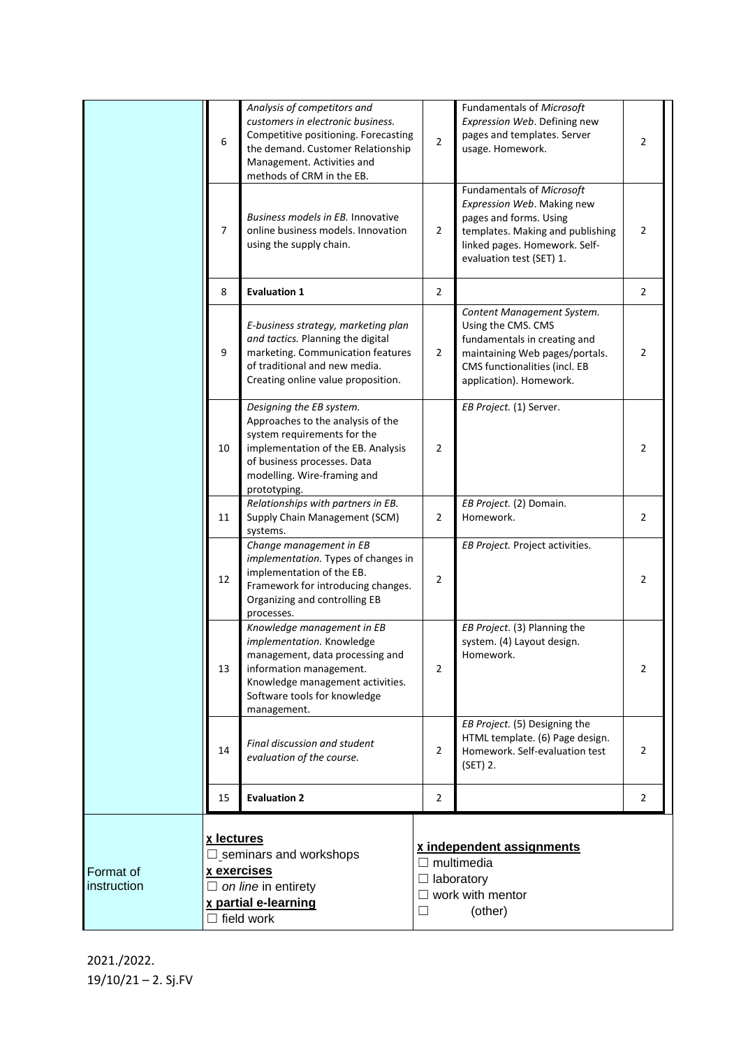|                          | 6                                                                                                                                     | Analysis of competitors and<br>customers in electronic business.<br>Competitive positioning. Forecasting<br>the demand. Customer Relationship<br>Management. Activities and<br>methods of CRM in the EB.         | $\overline{2}$                                                                                                      | Fundamentals of Microsoft<br>Expression Web. Defining new<br>pages and templates. Server<br>usage. Homework.                                                                       | $\overline{2}$ |  |
|--------------------------|---------------------------------------------------------------------------------------------------------------------------------------|------------------------------------------------------------------------------------------------------------------------------------------------------------------------------------------------------------------|---------------------------------------------------------------------------------------------------------------------|------------------------------------------------------------------------------------------------------------------------------------------------------------------------------------|----------------|--|
|                          | $\overline{7}$                                                                                                                        | Business models in EB. Innovative<br>online business models. Innovation<br>using the supply chain.                                                                                                               | 2                                                                                                                   | Fundamentals of Microsoft<br>Expression Web. Making new<br>pages and forms. Using<br>templates. Making and publishing<br>linked pages. Homework. Self-<br>evaluation test (SET) 1. | $\overline{2}$ |  |
|                          | 8                                                                                                                                     | <b>Evaluation 1</b>                                                                                                                                                                                              | 2                                                                                                                   |                                                                                                                                                                                    | $\overline{2}$ |  |
|                          | 9                                                                                                                                     | E-business strategy, marketing plan<br>and tactics. Planning the digital<br>marketing. Communication features<br>of traditional and new media.<br>Creating online value proposition.                             | $\overline{2}$                                                                                                      | Content Management System.<br>Using the CMS. CMS<br>fundamentals in creating and<br>maintaining Web pages/portals.<br>CMS functionalities (incl. EB<br>application). Homework.     | $\overline{2}$ |  |
|                          | 10                                                                                                                                    | Designing the EB system.<br>Approaches to the analysis of the<br>system requirements for the<br>implementation of the EB. Analysis<br>of business processes. Data<br>modelling. Wire-framing and<br>prototyping. | 2                                                                                                                   | EB Project. (1) Server.                                                                                                                                                            | $\overline{2}$ |  |
|                          | 11                                                                                                                                    | Relationships with partners in EB.<br>Supply Chain Management (SCM)<br>systems.                                                                                                                                  | $\overline{2}$                                                                                                      | EB Project. (2) Domain.<br>Homework.                                                                                                                                               | $\overline{2}$ |  |
|                          | 12                                                                                                                                    | Change management in EB<br>implementation. Types of changes in<br>implementation of the EB.<br>Framework for introducing changes.<br>Organizing and controlling EB<br>processes.                                 | 2                                                                                                                   | EB Project. Project activities.                                                                                                                                                    | $\overline{2}$ |  |
|                          | 13                                                                                                                                    | Knowledge management in EB<br>implementation. Knowledge<br>management, data processing and<br>information management.<br>Knowledge management activities.<br>Software tools for knowledge<br>management.         | 2                                                                                                                   | EB Project. (3) Planning the<br>system. (4) Layout design.<br>Homework.                                                                                                            | 2              |  |
|                          | 14                                                                                                                                    | Final discussion and student<br>evaluation of the course.                                                                                                                                                        | 2                                                                                                                   | EB Project. (5) Designing the<br>HTML template. (6) Page design.<br>Homework. Self-evaluation test<br>(SET) 2.                                                                     | $\overline{2}$ |  |
|                          | 15                                                                                                                                    | <b>Evaluation 2</b>                                                                                                                                                                                              | $\overline{2}$                                                                                                      |                                                                                                                                                                                    | $\overline{2}$ |  |
| Format of<br>instruction | x lectures<br>$\Box$ seminars and workshops<br>x exercises<br>$\Box$ on line in entirety<br>x partial e-learning<br>$\Box$ field work |                                                                                                                                                                                                                  | x independent assignments<br>$\Box$ multimedia<br>$\Box$ laboratory<br>$\Box$ work with mentor<br>$\Box$<br>(other) |                                                                                                                                                                                    |                |  |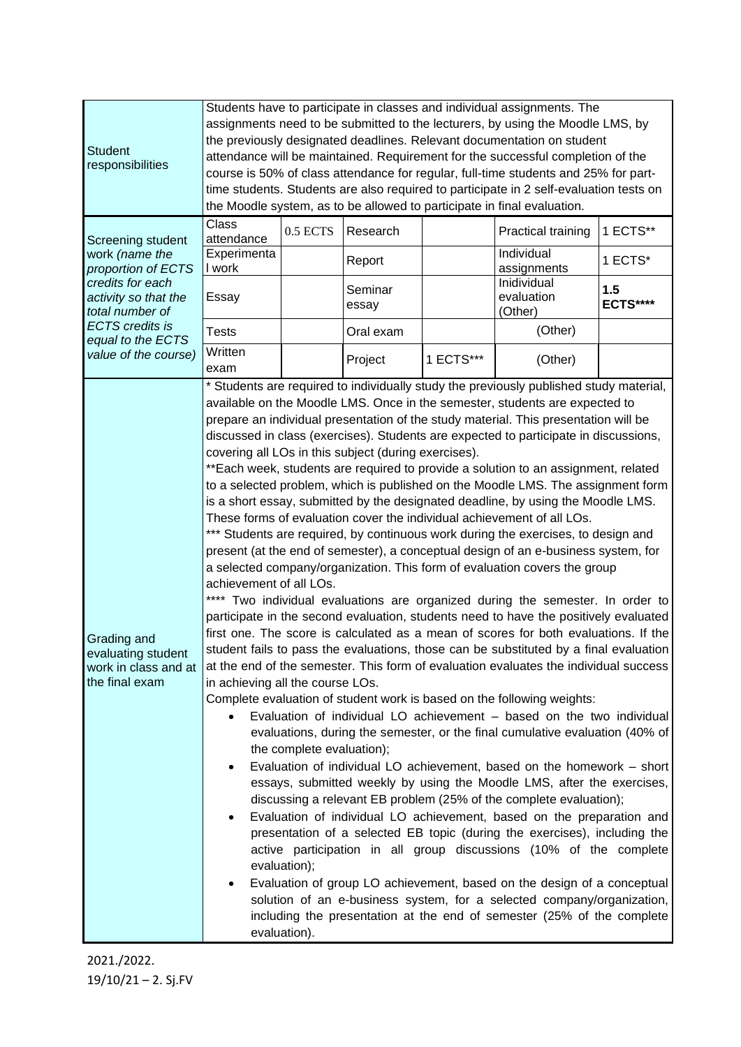|                                                                                                                          | Students have to participate in classes and individual assignments. The                                                                                                                                                                                                                                                                                                                                                                                                                                                                                                                                                                                                                                                                                                                                                                                                                                                                                                                                                                                                                                                                                                                                                                                                                                                                                                                                                                                                                                                                                                                                                                                                                                                                                                                                                                                                                                                                                                                                                                                                                                                                                                                                                                                                                                                                                                                                                                                                                       |          |                  |           |                                      |                        |  |  |
|--------------------------------------------------------------------------------------------------------------------------|-----------------------------------------------------------------------------------------------------------------------------------------------------------------------------------------------------------------------------------------------------------------------------------------------------------------------------------------------------------------------------------------------------------------------------------------------------------------------------------------------------------------------------------------------------------------------------------------------------------------------------------------------------------------------------------------------------------------------------------------------------------------------------------------------------------------------------------------------------------------------------------------------------------------------------------------------------------------------------------------------------------------------------------------------------------------------------------------------------------------------------------------------------------------------------------------------------------------------------------------------------------------------------------------------------------------------------------------------------------------------------------------------------------------------------------------------------------------------------------------------------------------------------------------------------------------------------------------------------------------------------------------------------------------------------------------------------------------------------------------------------------------------------------------------------------------------------------------------------------------------------------------------------------------------------------------------------------------------------------------------------------------------------------------------------------------------------------------------------------------------------------------------------------------------------------------------------------------------------------------------------------------------------------------------------------------------------------------------------------------------------------------------------------------------------------------------------------------------------------------------|----------|------------------|-----------|--------------------------------------|------------------------|--|--|
| <b>Student</b><br>responsibilities                                                                                       | assignments need to be submitted to the lecturers, by using the Moodle LMS, by<br>the previously designated deadlines. Relevant documentation on student<br>attendance will be maintained. Requirement for the successful completion of the<br>course is 50% of class attendance for regular, full-time students and 25% for part-<br>time students. Students are also required to participate in 2 self-evaluation tests on<br>the Moodle system, as to be allowed to participate in final evaluation.                                                                                                                                                                                                                                                                                                                                                                                                                                                                                                                                                                                                                                                                                                                                                                                                                                                                                                                                                                                                                                                                                                                                                                                                                                                                                                                                                                                                                                                                                                                                                                                                                                                                                                                                                                                                                                                                                                                                                                                       |          |                  |           |                                      |                        |  |  |
| Screening student<br>work (name the<br>proportion of ECTS<br>credits for each<br>activity so that the<br>total number of | Class<br>attendance                                                                                                                                                                                                                                                                                                                                                                                                                                                                                                                                                                                                                                                                                                                                                                                                                                                                                                                                                                                                                                                                                                                                                                                                                                                                                                                                                                                                                                                                                                                                                                                                                                                                                                                                                                                                                                                                                                                                                                                                                                                                                                                                                                                                                                                                                                                                                                                                                                                                           | 0.5 ECTS | Research         |           | Practical training                   | 1 ECTS**               |  |  |
|                                                                                                                          | Experimenta<br>I work                                                                                                                                                                                                                                                                                                                                                                                                                                                                                                                                                                                                                                                                                                                                                                                                                                                                                                                                                                                                                                                                                                                                                                                                                                                                                                                                                                                                                                                                                                                                                                                                                                                                                                                                                                                                                                                                                                                                                                                                                                                                                                                                                                                                                                                                                                                                                                                                                                                                         |          | Report           |           | Individual<br>assignments            | 1 ECTS*                |  |  |
|                                                                                                                          | Essay                                                                                                                                                                                                                                                                                                                                                                                                                                                                                                                                                                                                                                                                                                                                                                                                                                                                                                                                                                                                                                                                                                                                                                                                                                                                                                                                                                                                                                                                                                                                                                                                                                                                                                                                                                                                                                                                                                                                                                                                                                                                                                                                                                                                                                                                                                                                                                                                                                                                                         |          | Seminar<br>essay |           | Inidividual<br>evaluation<br>(Other) | 1.5<br><b>ECTS****</b> |  |  |
| <b>ECTS</b> credits is<br>equal to the ECTS                                                                              | <b>Tests</b>                                                                                                                                                                                                                                                                                                                                                                                                                                                                                                                                                                                                                                                                                                                                                                                                                                                                                                                                                                                                                                                                                                                                                                                                                                                                                                                                                                                                                                                                                                                                                                                                                                                                                                                                                                                                                                                                                                                                                                                                                                                                                                                                                                                                                                                                                                                                                                                                                                                                                  |          | Oral exam        |           | (Other)                              |                        |  |  |
| value of the course)                                                                                                     | Written<br>exam                                                                                                                                                                                                                                                                                                                                                                                                                                                                                                                                                                                                                                                                                                                                                                                                                                                                                                                                                                                                                                                                                                                                                                                                                                                                                                                                                                                                                                                                                                                                                                                                                                                                                                                                                                                                                                                                                                                                                                                                                                                                                                                                                                                                                                                                                                                                                                                                                                                                               |          | Project          | 1 ECTS*** | (Other)                              |                        |  |  |
| Grading and<br>evaluating student<br>work in class and at<br>the final exam                                              | * Students are required to individually study the previously published study material,<br>available on the Moodle LMS. Once in the semester, students are expected to<br>prepare an individual presentation of the study material. This presentation will be<br>discussed in class (exercises). Students are expected to participate in discussions,<br>covering all LOs in this subject (during exercises).<br>**Each week, students are required to provide a solution to an assignment, related<br>to a selected problem, which is published on the Moodle LMS. The assignment form<br>is a short essay, submitted by the designated deadline, by using the Moodle LMS.<br>These forms of evaluation cover the individual achievement of all LOs.<br>*** Students are required, by continuous work during the exercises, to design and<br>present (at the end of semester), a conceptual design of an e-business system, for<br>a selected company/organization. This form of evaluation covers the group<br>achievement of all LOs.<br>Two individual evaluations are organized during the semester. In order to<br>participate in the second evaluation, students need to have the positively evaluated<br>first one. The score is calculated as a mean of scores for both evaluations. If the<br>student fails to pass the evaluations, those can be substituted by a final evaluation<br>at the end of the semester. This form of evaluation evaluates the individual success<br>in achieving all the course LOs.<br>Complete evaluation of student work is based on the following weights:<br>Evaluation of individual LO achievement - based on the two individual<br>evaluations, during the semester, or the final cumulative evaluation (40% of<br>the complete evaluation);<br>Evaluation of individual LO achievement, based on the homework - short<br>essays, submitted weekly by using the Moodle LMS, after the exercises,<br>discussing a relevant EB problem (25% of the complete evaluation);<br>Evaluation of individual LO achievement, based on the preparation and<br>presentation of a selected EB topic (during the exercises), including the<br>active participation in all group discussions (10% of the complete<br>evaluation);<br>Evaluation of group LO achievement, based on the design of a conceptual<br>solution of an e-business system, for a selected company/organization,<br>including the presentation at the end of semester (25% of the complete |          |                  |           |                                      |                        |  |  |